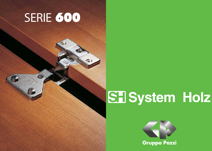## SERIE 600

Q

 $\sqrt{1+\frac{1}{2}}$ 



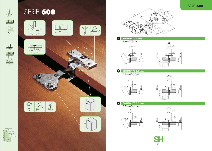

# $77.58.5$



SERIE 600







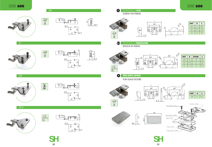

FISSAGGIO A **PRESSIONE**

KNOCK-IN FIXING

3/2

 $\bullet$ 

88









/R10





国家



**PER ANTE VETRO**



| INT. | А   | ι  |  |
|------|-----|----|--|
| 48   | 6   | 62 |  |
| 45   | 9.5 | 62 |  |
| .52  | 5.5 | 66 |  |

### SERIE 600 SERIE 600





 $\sqrt{RQ}$ 







| INT. | $\mathbf{A}$ | DIAM.      | L  |
|------|--------------|------------|----|
| 48   | 6            | 10         | 62 |
| 4.5  | 9.5          | 8          | 62 |
| 52   | 5.5          | $\vert$ () | 66 |